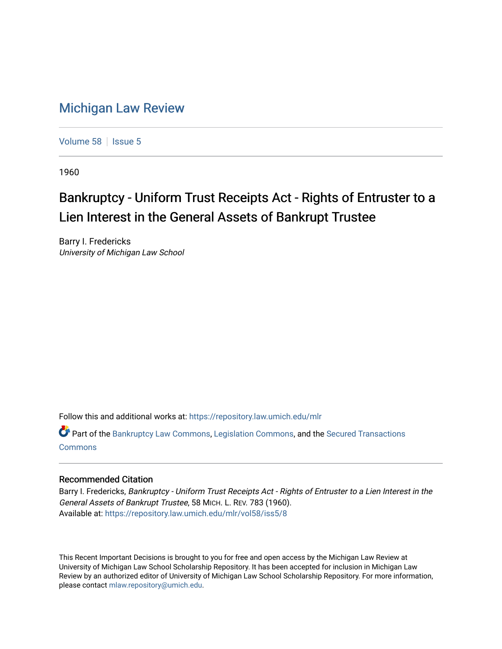## [Michigan Law Review](https://repository.law.umich.edu/mlr)

[Volume 58](https://repository.law.umich.edu/mlr/vol58) | [Issue 5](https://repository.law.umich.edu/mlr/vol58/iss5)

1960

## Bankruptcy - Uniform Trust Receipts Act - Rights of Entruster to a Lien Interest in the General Assets of Bankrupt Trustee

Barry I. Fredericks University of Michigan Law School

Follow this and additional works at: [https://repository.law.umich.edu/mlr](https://repository.law.umich.edu/mlr?utm_source=repository.law.umich.edu%2Fmlr%2Fvol58%2Fiss5%2F8&utm_medium=PDF&utm_campaign=PDFCoverPages) 

Part of the [Bankruptcy Law Commons,](http://network.bepress.com/hgg/discipline/583?utm_source=repository.law.umich.edu%2Fmlr%2Fvol58%2Fiss5%2F8&utm_medium=PDF&utm_campaign=PDFCoverPages) [Legislation Commons](http://network.bepress.com/hgg/discipline/859?utm_source=repository.law.umich.edu%2Fmlr%2Fvol58%2Fiss5%2F8&utm_medium=PDF&utm_campaign=PDFCoverPages), and the [Secured Transactions](http://network.bepress.com/hgg/discipline/876?utm_source=repository.law.umich.edu%2Fmlr%2Fvol58%2Fiss5%2F8&utm_medium=PDF&utm_campaign=PDFCoverPages)  [Commons](http://network.bepress.com/hgg/discipline/876?utm_source=repository.law.umich.edu%2Fmlr%2Fvol58%2Fiss5%2F8&utm_medium=PDF&utm_campaign=PDFCoverPages)

## Recommended Citation

Barry I. Fredericks, Bankruptcy - Uniform Trust Receipts Act - Rights of Entruster to a Lien Interest in the General Assets of Bankrupt Trustee, 58 MICH. L. REV. 783 (1960). Available at: [https://repository.law.umich.edu/mlr/vol58/iss5/8](https://repository.law.umich.edu/mlr/vol58/iss5/8?utm_source=repository.law.umich.edu%2Fmlr%2Fvol58%2Fiss5%2F8&utm_medium=PDF&utm_campaign=PDFCoverPages)

This Recent Important Decisions is brought to you for free and open access by the Michigan Law Review at University of Michigan Law School Scholarship Repository. It has been accepted for inclusion in Michigan Law Review by an authorized editor of University of Michigan Law School Scholarship Repository. For more information, please contact [mlaw.repository@umich.edu.](mailto:mlaw.repository@umich.edu)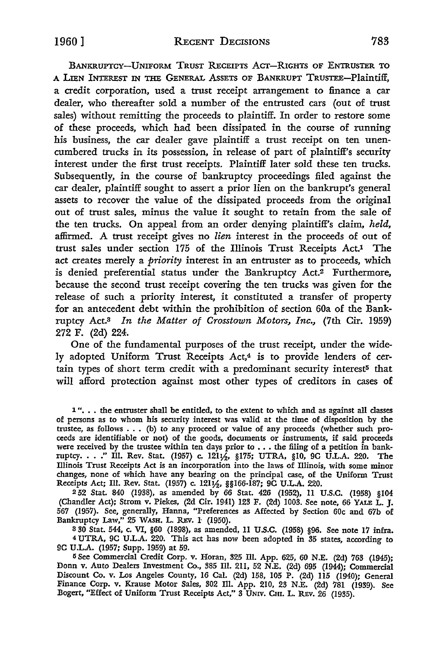BANKRUPTCY-UNIFORM TRUST RECEIPTS ACT-RIGHTS OF ENTRUSTER TO A LIEN INTEREST IN THE GENERAL ASSETS OF BANKRUPT TRUSTEE-Plaintiff. a credit corporation, used a trust receipt arrangement to finance a car dealer, who thereafter sold a number of the entrusted cars (out of trust sales) without remitting the proceeds to plaintiff. In order to restore some of these proceeds, which had been dissipated in the course of running his business, the car dealer gave plaintiff a trust receipt on ten unencumbered trucks in its possession, in release of part of plaintiff's security interest under the first trust receipts. Plaintiff later sold these ten trucks. Subsequently, in the course of bankruptcy proceedings filed against the car dealer, plaintiff sought to assert a prior lien on the bankrupt's general assets to recover the value of the dissipated proceeds from the original out of trust sales, minus the value it sought to retain from the sale of the ten trucks. On appeal from an order denying plaintiff's claim, *held,*  affirmed. A trust receipt gives no *lien* interest in the proceeds of out of trust sales under section 175 of the Illinois Trust Receipts Act.<sup>1</sup> The act creates merely a *priority* interest in an entruster as to proceeds, which is denied preferential status under the Bankruptcy Act.2 Furthermore, because the second trust receipt covering the ten trucks was given for the release of such a priority interest, it constituted a transfer of property for an antecedent debt within the prohibition of section 60a of the Bankruptcy Act.3 *In the Matter of Crosstown Motors, Inc.,* (7th Cir. 1959) 272 F. (2d) 224-.

One of the fundamental purposes of the trust receipt, under the widely adopted Uniform Trust Receipts Act,<sup>4</sup> is to provide lenders of certain types of short term credit with a predominant security interest<sup>5</sup> that will afford protection against most other types of creditors in cases of

2 52 Stat. 840 (1938), as amended by 66 Stat. 426 (1952), 11 U.S.C. (1958) §104 (Chandler Act); Strom v. Piekes, (2d Cir. 1941) 123 F. (2d) 1003. See note, 66 YALE L. J. 567 (1957). See, generally, Hanna, "Preferences as Affected by Section 60c and 67b of Bankruptcy Law," 25 WASH. L. REv. l (1950).

3 30 Stat. 544, c. VI, §60 (1898), as amended, 11 U.S.C. (1958) §96. See note 17 infra. <sup>4</sup>UTRA, 9C U.L.A. 220. This act has now been adopted in 35 states, according to 9C UL.A. (1957; Supp. 1959) at 59.

5 See Commercial Credit Corp. v. Horan, 325 Ill. App. 625, 60 N.E. (2d) 763 (1945); Donn v. Auto Dealers Investment Co., 385 Ill. 211, 52 N.E. (2d) 695 (1944); Commercial Discount Co. v. Los Angeles County, 16 Cal. (2d) 158, 105 P. (2d) 115 (1940); General Finance Corp. v. Krause Motor Sales, 302 Ill. App. 210, 23 N.E. (2d) 781 (1939). See Bogert, "Effect of Uniform Trust Receipts Act," 3 UNIV. CHI. L. REV. 26 (1935).

<sup>1&</sup>quot;... the entruster shall be entitled, to the extent to which and as against all classes of persons as to whom his security interest was valid at the time of disposition by the trustee, as follows . . • (b) to any proceed or value of any proceeds (whether such proceeds are identifiable or not) of the goods, documents or instruments, if said proceeds were received by the trustee within ten days prior to ... the filing of a petition in bankwere received by the trustee within ten days prior to . . . the filing of a petition in bank-<br>ruptcy. . . .'' Ill. Rev. Stat. (1957) c. 121½, §175; UTRA, §10, 9C U.L.A. 220. The<br>Illinois Trust Receipts Act is an incorporat changes, none of which have any bearing on the principal case, of the Uniform Trust Receipts Act; Ill. Rev. Stat. (1957) c. 121½, §§166-187; 9C U.L.A. 220.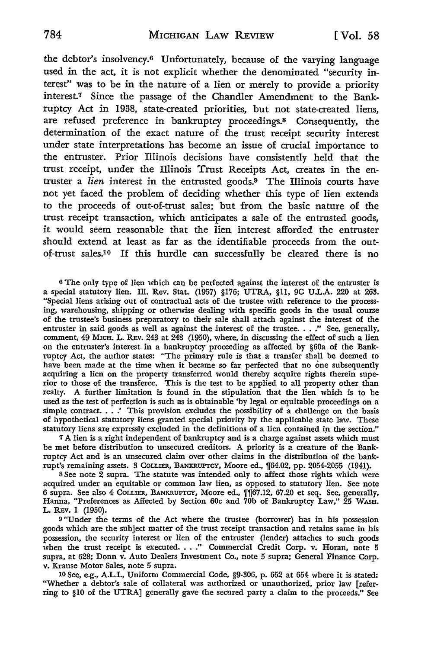the debtor's insolvency.6 Unfortunately, because of the varying language used in the act, it is not explicit whether the denominated "security interest" was to be in the nature of a lien or merely to provide a priority interest.7 Since the passage of the Chandler Amendment to the Bankruptcy Act in 1938, state-created priorities, but not state-created liens, are refused preference in bankruptcy proceedings.<sup>8</sup> Consequently, the determination of the exact nature of the trust receipt security interest under state interpretations has become an issue of crucial importance to the entruster. Prior Illinois decisions have consistently held that the trust receipt, under the Illinois Trust Receipts Act, creates in the entruster a *lien* interest in the entrusted goods.9 The Illinois courts have not yet faced the problem of deciding whether this type of lien extends to the proceeds of out-of-trust sales; but from the basic nature of the trust receipt transaction, which anticipates a sale of the entrusted goods, it would seem reasonable that the lien interest afforded the entruster should extend at least as far as the identifiable proceeds from the outof-trust sales.<sup>10</sup> If this hurdle can successfully be cleared there is no

<sup>6</sup>The only type of lien which can be perfected against the interest of the entruster is a special statutory lien. Ill. Rev. Stat. (1957) §176; UTRA, §11, 9C U.L.A. 220 at 263. "Special liens arising out of contractual acts of the trustee with reference to the processing, warehousing, shipping or otherwise dealing with specific goods in the usual course of the trustee's business preparatory to their sale shall attach against the interest of the entruster in said goods as well as against the interest of the trustee ... *:•* See, generally, comment, 49 MICH. L. R.Ev. 243 at 248 (1950), where, in discussing the effect of such a lien on the entruster's interest in a bankruptcy proceeding as affected by §60a of the Bankruptcy Act, the author states: "The primary rule is that a transfer shall be deemed to have been made at the time when it became so far perfected that no one subsequently acquiring a lien on the property transferred would thereby acquire rights therein superior to those of the transferee. This is the test to be applied to all property other than realty. A further limitation is found in the stipulation that the lien which is to be used as the test of perfection is such as is obtainable 'by legal or equitable proceedings on a simple contract. . . . <sup>*\**</sup> This provision excludes the possibility of a challenge on the basis of hypothetical statutory liens granted special priority by the applicable state law. These statutory liens are expressly excluded in the definitions of a lien contained in the section."

*1* A lien is a right independent of bankruptcy and is a charge against assets which must be met before distribution to unsecured creditors. A priority is a creature of the Bankruptcy Act and is an unsecured claim over other claims in the distribution of the bankrupt's remaining assets. 3 COLLIER, BANKRUPTCY, Moore ed., 1f64.02, pp. 2054-2055 (1941).

<sup>8</sup>See note 2 supra. The statute was intended only to affect those rights which were acquired under an equitable or common law lien, as opposed to statutory lien. See note 6 supra. See also 4 COLLIER, BANKRUPTCY, Moore ed., 1f1f67.12, 67.20 et seq. See, generally, Hanna, "Preferences as Affected by Section 60c and 70b of Bankruptcy Law," 25 WASH. L. REV. 1 (1950).

<sup>9</sup>"Under the terms of the Act where the trustee (borrower) has in his possession goods which are the subject matter of the trust receipt transaction and retains same in his possession, the security interest or lien of the entruster (lender) attaches to such goods when the trust receipt is executed. . . ." Commercial Credit Corp. v. Horan, note 5 supra, at 628; Donn v. Auto Dealers Investment Co., note 5 supra; General Finance Corp. v. Krause Motor Sales, note 5 supra.

10 See, e.g., A.L.I., Uniform Commercial Code, §9-306, p. 652 at 654 where it is stated: "Whether a debtor's sale of collateral was authorized or unauthorized, prior law [referring to §10 of the UTRA] generally gave the secured party a claim to the proceeds." See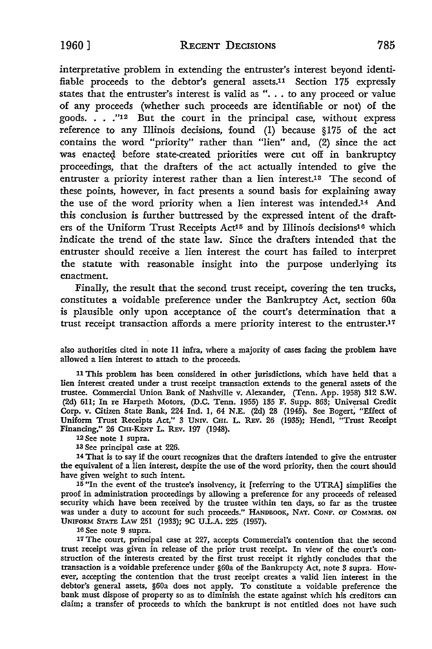1960] **RECENT DECISIONS** 785

interpretative problem in extending the entruster's interest beyond identifiable proceeds to the debtor's general assets.11 Section 175 expressly states that the entruster's interest is valid as "... to any proceed or value of any proceeds (whether such proceeds are identifiable or not) of the goods. . . ."12 But the court in the principal case, without express reference to any Illinois decisions, found (1) because §175 of the act contains the word "priority" rather than "lien" and, (2) since the act was enacted before state-created priorities were cut off in bankruptcy proceedings, that the drafters of the act actually intended to give the entruster a priority interest rather than a lien interest.<sup>13</sup> The second of these points, however, in fact presents a sound basis for explaining away the use of the word priority when a lien interest was intended.14 And this conclusion is further buttressed by the expressed intent of the drafters of the Uniform Trust Receipts Act<sup>15</sup> and by Illinois decisions<sup>16</sup> which indicate the trend of the state law. Since the drafters intended that the entruster should receive a lien interest the court has failed to interpret the statute with reasonable insight into the purpose underlying its enactment.

Finally, the result that the second trust receipt, covering the ten trucks, constitutes a voidable preference under the Bankruptcy Act, section 60a is plausible only upon acceptance of the court's determination that a trust receipt transaction affords a mere priority interest to the entruster.17

also authorities cited in note 11 infra, where a majority of cases facing the problem have allowed a lien interest to attach to the proceeds.

11 This problem has been considered in other jurisdictions, which have held that a lien interest created under a trust receipt transaction extends to the general assets of the trustee. Commercial Union Bank of Nashville v. Alexander, (Tenn. App. 1958) 312 **S.W.**  (2d) 611; In re Harpeth Motors, (D.C. Tenn. 1955) 135 F. Supp. 863; Universal Credit Corp. v. Citizen State Bank, 224 Ind. I, 64 N.E. (2d) 28 (1945). See Bogert; "Effect of Uniform Trust Receipts Act," 3 UNIV. CHI. L. R.Ev. 26 (1935); Hendl, "Trust Receipt Financing," 26 CHI•KENT L. REv. 197 (1948).

12 See note I supra.

13 See principal case at 226.

14 That is to say if the court recognizes that the drafters intended to give the entruster the equivalent of a lien interest, despite the use of the word priority, then the court should have given weight to such intent.

15 "In the event of the trustee's insolvency, it [referring to the UTRA] simplifies the proof in administration proceedings by allowing a preference for any proceeds of released security which have been received by the trustee within ten days, so far as the trustee was under a duty to account for such proceeds." HANDBOOK, NAT. CONF. OF COMMRS. ON UNIFORM STATE LAw 251 (1933); 9C U.L.A. 225 (1957).

16 See note 9 supra.

17 The court, principal case at 227, accepts Commercial's contention that the second trust receipt was given in release of the prior trust receipt. In view of the court's con• struction of the interests created by the first trust receipt it rightly concludes that the transaction is a voidable preference under §60a of the Bankrupcty Act, note 3 supra. However, accepting the contention that the trust receipt creates a valid lien interest in the debtor's general assets, §60a does not apply. To constitute a voidable preference the bank must dispose of property so as to diminish the estate against which his creditors can claim; a transfer of proceeds to which the bankrupt is not entitled does not have such